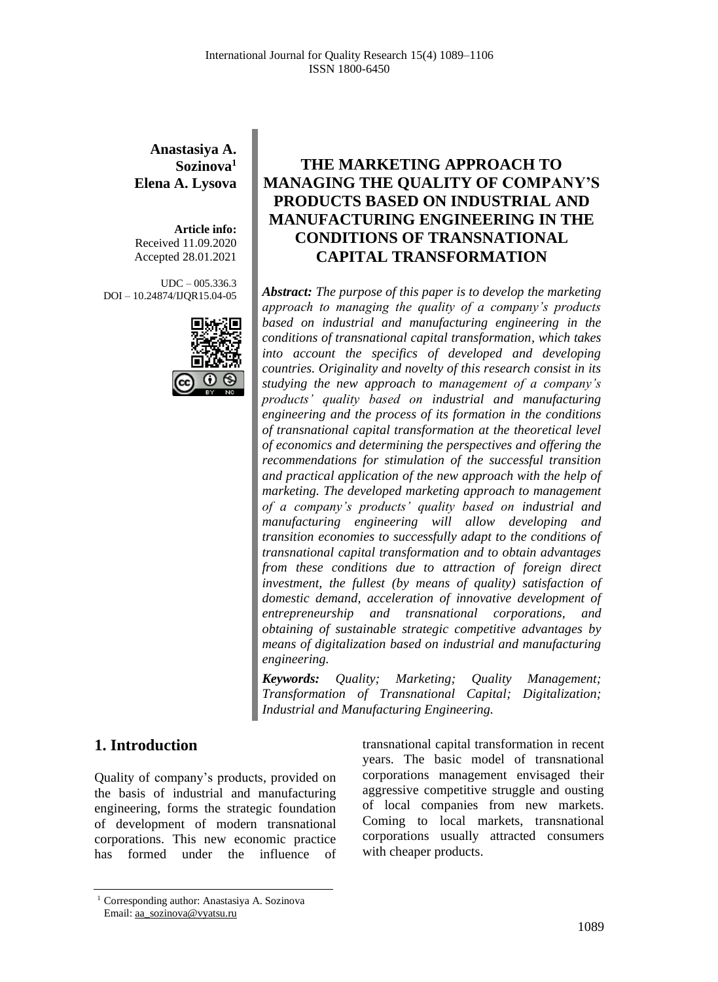#### **Anastasiya A. Sozinova<sup>1</sup> Elena A. Lysova**

**Article info:** Received 11.09.2020 Accepted 28.01.2021

UDC – 005.336.3 DOI – 10.24874/IJQR15.04-05



# **THE MARKETING APPROACH TO MANAGING THE QUALITY OF COMPANY'S PRODUCTS BASED ON INDUSTRIAL AND MANUFACTURING ENGINEERING IN THE CONDITIONS OF TRANSNATIONAL CAPITAL TRANSFORMATION**

*Abstract: The purpose of this paper is to develop the marketing approach to managing the quality of a company's products based on industrial and manufacturing engineering in the conditions of transnational capital transformation, which takes into account the specifics of developed and developing countries. Originality and novelty of this research consist in its studying the new approach to management of a company's products' quality based on industrial and manufacturing engineering and the process of its formation in the conditions of transnational capital transformation at the theoretical level of economics and determining the perspectives and offering the recommendations for stimulation of the successful transition and practical application of the new approach with the help of marketing. The developed marketing approach to management of a company's products' quality based on industrial and manufacturing engineering will allow developing and transition economies to successfully adapt to the conditions of transnational capital transformation and to obtain advantages from these conditions due to attraction of foreign direct investment, the fullest (by means of quality) satisfaction of domestic demand, acceleration of innovative development of entrepreneurship and transnational corporations, and obtaining of sustainable strategic competitive advantages by means of digitalization based on industrial and manufacturing engineering.*

*Keywords: Quality; Marketing; Quality Management; Transformation of Transnational Capital; Digitalization; Industrial and Manufacturing Engineering.*

### **1. Introduction**

Quality of company's products, provided on the basis of industrial and manufacturing engineering, forms the strategic foundation of development of modern transnational corporations. This new economic practice has formed under the influence of

transnational capital transformation in recent years. The basic model of transnational corporations management envisaged their aggressive competitive struggle and ousting of local companies from new markets. Coming to local markets, transnational corporations usually attracted consumers with cheaper products.

<sup>1</sup> Corresponding author: Anastasiya A. Sozinova Email: aa\_sozinova@vyatsu.ru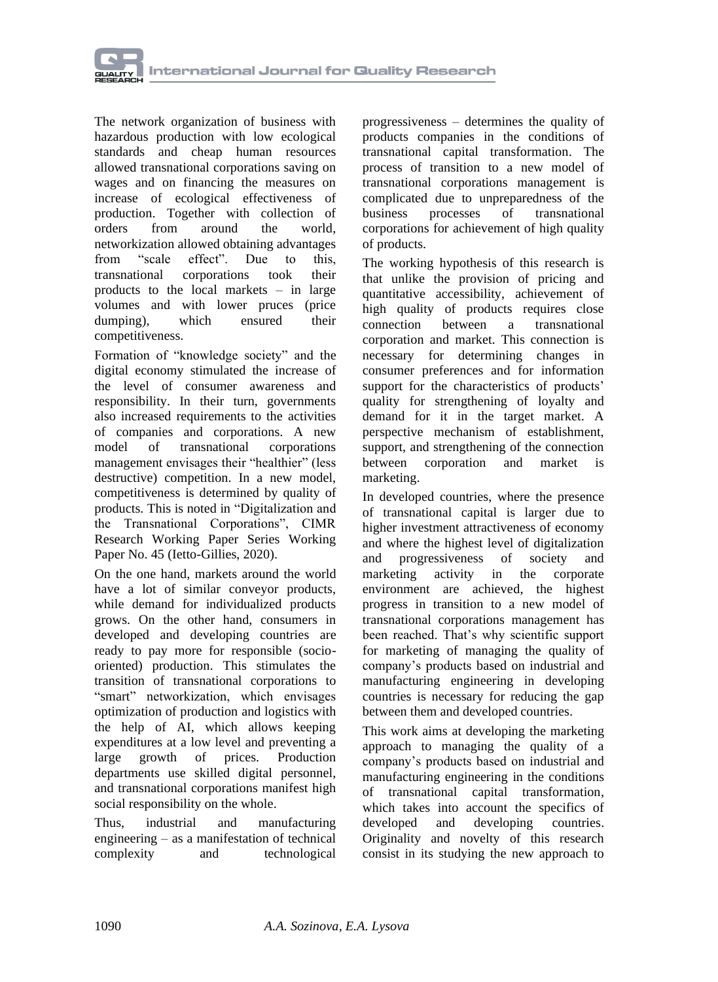

The network organization of business with hazardous production with low ecological standards and cheap human resources allowed transnational corporations saving on wages and on financing the measures on increase of ecological effectiveness of production. Together with collection of orders from around the world, networkization allowed obtaining advantages from "scale effect". Due to this, transnational corporations took their products to the local markets – in large volumes and with lower pruces (price dumping), which ensured their competitiveness.

Formation of "knowledge society" and the digital economy stimulated the increase of the level of consumer awareness and responsibility. In their turn, governments also increased requirements to the activities of companies and corporations. A new model of transnational corporations management envisages their "healthier" (less destructive) competition. In a new model, competitiveness is determined by quality of products. This is noted in "Digitalization and the Transnational Corporations", CIMR Research Working Paper Series Working Paper No. 45 (Ietto-Gillies, 2020).

On the one hand, markets around the world have a lot of similar conveyor products, while demand for individualized products grows. On the other hand, consumers in developed and developing countries are ready to pay more for responsible (sociooriented) production. This stimulates the transition of transnational corporations to "smart" networkization, which envisages optimization of production and logistics with the help of AI, which allows keeping expenditures at a low level and preventing a large growth of prices. Production departments use skilled digital personnel, and transnational corporations manifest high social responsibility on the whole.

Thus, industrial and manufacturing engineering – as a manifestation of technical complexity and technological

progressiveness – determines the quality of products companies in the conditions of transnational capital transformation. The process of transition to a new model of transnational corporations management is complicated due to unpreparedness of the business processes of transnational corporations for achievement of high quality of products.

The working hypothesis of this research is that unlike the provision of pricing and quantitative accessibility, achievement of high quality of products requires close connection between a transnational corporation and market. This connection is necessary for determining changes in consumer preferences and for information support for the characteristics of products' quality for strengthening of loyalty and demand for it in the target market. A perspective mechanism of establishment, support, and strengthening of the connection between corporation and market is marketing.

In developed countries, where the presence of transnational capital is larger due to higher investment attractiveness of economy and where the highest level of digitalization<br>and progressiveness of society and and progressiveness of society and marketing activity in the corporate environment are achieved, the highest progress in transition to a new model of transnational corporations management has been reached. That's why scientific support for marketing of managing the quality of company's products based on industrial and manufacturing engineering in developing countries is necessary for reducing the gap between them and developed countries.

This work aims at developing the marketing approach to managing the quality of a company's products based on industrial and manufacturing engineering in the conditions of transnational capital transformation, which takes into account the specifics of developed and developing countries. Originality and novelty of this research consist in its studying the new approach to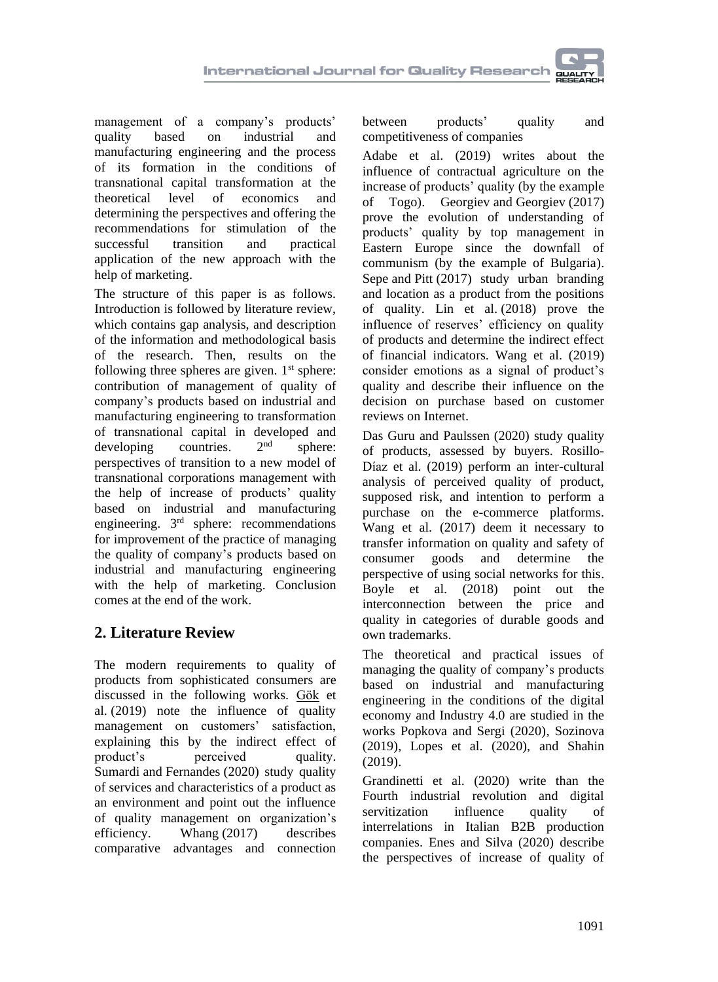management of a company's products' quality based on industrial and manufacturing engineering and the process of its formation in the conditions of transnational capital transformation at the theoretical level of economics and determining the perspectives and offering the recommendations for stimulation of the successful transition and practical application of the new approach with the help of marketing.

The structure of this paper is as follows. Introduction is followed by literature review, which contains gap analysis, and description of the information and methodological basis of the research. Then, results on the following three spheres are given.  $1<sup>st</sup>$  sphere: contribution of management of quality of company's products based on industrial and manufacturing engineering to transformation of transnational capital in developed and developing countries  $2<sup>nd</sup>$  sphere: developing countries. sphere: perspectives of transition to a new model of transnational corporations management with the help of increase of products' quality based on industrial and manufacturing engineering. 3<sup>rd</sup> sphere: recommendations for improvement of the practice of managing the quality of company's products based on industrial and manufacturing engineering with the help of marketing. Conclusion comes at the end of the work.

# **2. Literature Review**

The modern requirements to quality of products from sophisticated consumers are discussed in the following works. [Gök](https://www.emerald.com/insight/search?q=Osman%20G%C3%B6k) et al. (2019) note the influence of quality management on customers' satisfaction, explaining this by the indirect effect of product's perceived quality. [Sumardi](https://www.emerald.com/insight/search?q=Sumardi%20Sumardi) and [Fernandes](https://www.emerald.com/insight/search?q=Adji%20Achmad%20Rinaldo%20Fernandes) (2020) study quality of services and characteristics of a product as an environment and point out the influence of quality management on organization's efficiency. [Whang](https://www.emerald.com/insight/search?q=Unjung%20Whang) (2017) describes comparative advantages and connection

between products' quality and competitiveness of companies

[Adabe](https://www.emerald.com/insight/search?q=Kokou%20E.%20Adabe) et al. (2019) writes about the influence of contractual agriculture on the increase of products' quality (by the example of Togo). [Georgiev](https://www.emerald.com/insight/search?q=Svetoslav%20Georgiev) and [Georgiev](https://www.emerald.com/insight/search?q=Emil%20Georgiev) (2017) prove the evolution of understanding of products' quality by top management in Eastern Europe since the downfall of communism (by the example of Bulgaria). [Sepe](https://www.emerald.com/insight/search?q=Marichela%20Sepe) and [Pitt](https://www.emerald.com/insight/search?q=Michael%20Pitt) (2017) study urban branding and location as a product from the positions of quality. [Lin](https://www.emerald.com/insight/search?q=Yu%20Lin) et al. (2018) prove the influence of reserves' efficiency on quality of products and determine the indirect effect of financial indicators. [Wang](https://www.emerald.com/insight/search?q=Xiaopan%20Wang) et al. (2019) consider emotions as a signal of product's quality and describe their influence on the decision on purchase based on customer reviews on Internet.

[Das Guru](https://www.emerald.com/insight/search?q=Ramesh%20Roshan%20Das%20Guru) and [Paulssen](https://www.emerald.com/insight/search?q=Marcel%20Paulssen) (2020) study quality of products, assessed by buyers. [Rosillo-](https://www.emerald.com/insight/search?q=Elena%20Rosillo-D%C3%ADaz)[Díaz](https://www.emerald.com/insight/search?q=Elena%20Rosillo-D%C3%ADaz) et al. (2019) perform an inter-cultural analysis of perceived quality of product, supposed risk, and intention to perform a purchase on the e-commerce platforms. [Wang](https://www.emerald.com/insight/search?q=Xin%20Wang) et al. (2017) deem it necessary to transfer information on quality and safety of consumer goods and determine the perspective of using social networks for this. [Boyle](https://www.emerald.com/insight/search?q=Peter%20J.%20Boyle) et al. (2018) point out the interconnection between the price and quality in categories of durable goods and own trademarks.

The theoretical and practical issues of managing the quality of company's products based on industrial and manufacturing engineering in the conditions of the digital economy and Industry 4.0 are studied in the works Popkova and Sergi (2020), Sozinova (2019), Lopes et al. (2020), and Shahin (2019).

[Grandinetti](https://www.emerald.com/insight/search?q=Roberto%20Grandinetti) et al. (2020) write than the Fourth industrial revolution and digital servitization influence quality of interrelations in Italian B2B production companies. Enes and Silva (2020) describe the perspectives of increase of quality of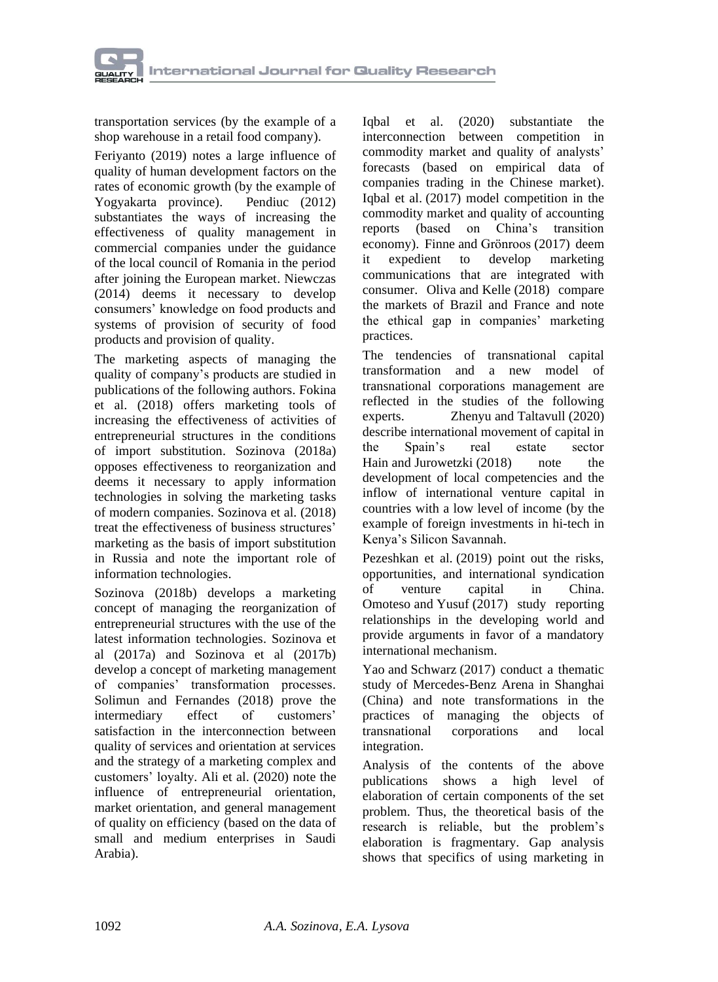

transportation services (by the example of a shop warehouse in a retail food company).

Feriyanto (2019) notes a large influence of quality of human development factors on the rates of economic growth (by the example of Yogyakarta province). Pendiuc (2012) substantiates the ways of increasing the effectiveness of quality management in commercial companies under the guidance of the local council of Romania in the period after joining the European market. Niewczas (2014) deems it necessary to develop consumers' knowledge on food products and systems of provision of security of food products and provision of quality.

The marketing aspects of managing the quality of company's products are studied in publications of the following authors. Fokina et al. (2018) offers marketing tools of increasing the effectiveness of activities of entrepreneurial structures in the conditions of import substitution. Sozinova (2018a) opposes effectiveness to reorganization and deems it necessary to apply information technologies in solving the marketing tasks of modern companies. Sozinova et al. (2018) treat the effectiveness of business structures' marketing as the basis of import substitution in Russia and note the important role of information technologies.

Sozinova (2018b) develops a marketing concept of managing the reorganization of entrepreneurial structures with the use of the latest information technologies. Sozinova et al (2017a) and Sozinova et al (2017b) develop a concept of marketing management of companies' transformation processes. [Solimun](https://www.emerald.com/insight/search?q=Solimun%20Solimun) and [Fernandes](https://www.emerald.com/insight/search?q=Adji%20Achmad%20Rinaldo%20Fernandes) (2018) prove the intermediary effect of customers' satisfaction in the interconnection between quality of services and orientation at services and the strategy of a marketing complex and customers' loyalty. [Ali](https://www.emerald.com/insight/search?q=Gamal%20Abdualmajed%20Ali) et al. (2020) note the influence of entrepreneurial orientation, market orientation, and general management of quality on efficiency (based on the data of small and medium enterprises in Saudi Arabia).

[Iqbal](https://www.emerald.com/insight/search?q=Amjad%20Iqbal) et al. (2020) substantiate the interconnection between competition in commodity market and quality of analysts' forecasts (based on empirical data of companies trading in the Chinese market). [Iqbal](https://www.emerald.com/insight/search?q=Amjad%20Iqbal) et al. (2017) model competition in the commodity market and quality of accounting reports (based on China's transition economy). [Finne](https://www.emerald.com/insight/search?q=%C3%85ke%20Finne) and [Grönroos](https://www.emerald.com/insight/search?q=Christian%20Gr%C3%B6nroos) (2017) deem it expedient to develop marketing communications that are integrated with consumer. [Oliva](https://www.emerald.com/insight/search?q=Fabio%20Lotti%20Oliva) and [Kelle](https://www.emerald.com/insight/search?q=Peter%20Kelle) (2018) compare the markets of Brazil and France and note the ethical gap in companies' marketing practices.

The tendencies of transnational capital transformation and a new model of transnational corporations management are reflected in the studies of the following experts. [Zhenyu](https://www.emerald.com/insight/search?q=Su%20Zhenyu) and [Taltavull](https://www.emerald.com/insight/search?q=Paloma%20Taltavull) (2020) describe international movement of capital in the Spain's real estate sector [Hain](https://www.emerald.com/insight/search?q=Daniel%20Stefan%20Hain) and [Jurowetzki](https://www.emerald.com/insight/search?q=Roman%20Jurowetzki) (2018) note the development of local competencies and the inflow of international venture capital in countries with a low level of income (by the example of foreign investments in hi-tech in Kenya's Silicon Savannah.

[Pezeshkan](https://www.emerald.com/insight/search?q=Amir%20Pezeshkan) et al. (2019) point out the risks, opportunities, and international syndication of venture capital in China. [Omoteso](https://www.emerald.com/insight/search?q=Kamil%20Omoteso) and [Yusuf](https://www.emerald.com/insight/search?q=Hakeem%20Yusuf) (2017) study reporting relationships in the developing world and provide arguments in favor of a mandatory international mechanism.

[Yao](https://www.emerald.com/insight/search?q=Qin%20Yao) and [Schwarz](https://www.emerald.com/insight/search?q=Eric%20C.%20Schwarz) (2017) conduct a thematic study of Mercedes-Benz Arena in Shanghai (China) and note transformations in the practices of managing the objects of transnational corporations and local integration.

Analysis of the contents of the above publications shows a high level of elaboration of certain components of the set problem. Thus, the theoretical basis of the research is reliable, but the problem's elaboration is fragmentary. Gap analysis shows that specifics of using marketing in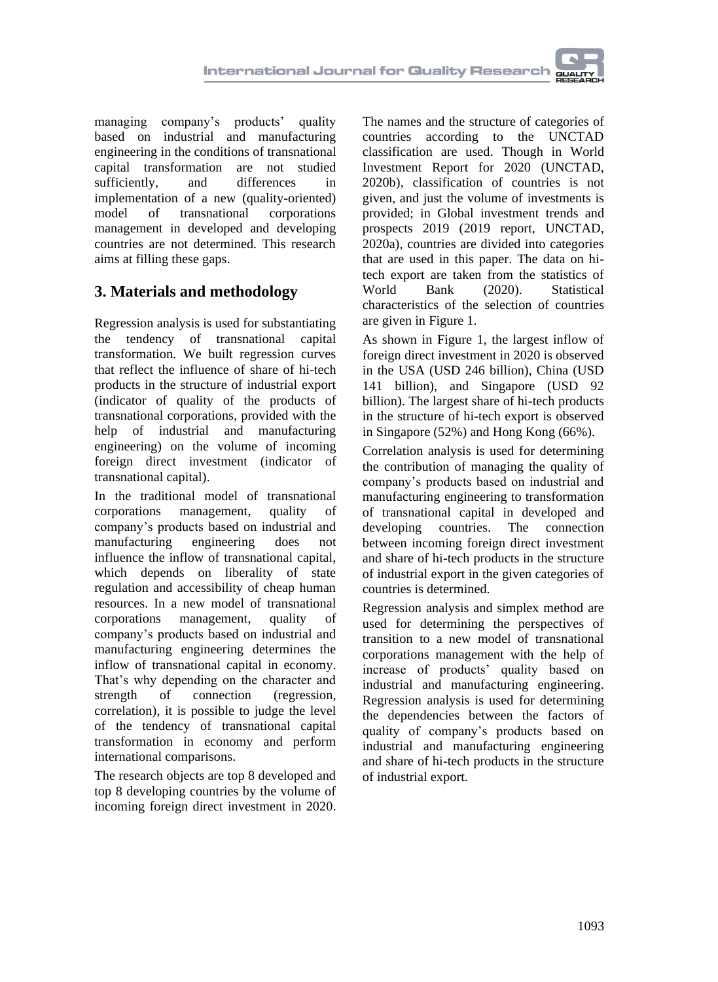managing company's products' quality based on industrial and manufacturing engineering in the conditions of transnational capital transformation are not studied sufficiently, and differences in implementation of a new (quality-oriented) model of transnational corporations management in developed and developing countries are not determined. This research aims at filling these gaps.

# **3. Materials and methodology**

Regression analysis is used for substantiating the tendency of transnational capital transformation. We built regression curves that reflect the influence of share of hi-tech products in the structure of industrial export (indicator of quality of the products of transnational corporations, provided with the help of industrial and manufacturing engineering) on the volume of incoming foreign direct investment (indicator of transnational capital).

In the traditional model of transnational corporations management, quality of company's products based on industrial and manufacturing engineering does not influence the inflow of transnational capital, which depends on liberality of state regulation and accessibility of cheap human resources. In a new model of transnational corporations management, quality of company's products based on industrial and manufacturing engineering determines the inflow of transnational capital in economy. That's why depending on the character and strength of connection (regression, correlation), it is possible to judge the level of the tendency of transnational capital transformation in economy and perform international comparisons.

The research objects are top 8 developed and top 8 developing countries by the volume of incoming foreign direct investment in 2020.

The names and the structure of categories of countries according to the UNCTAD classification are used. Though in World Investment Report for 2020 (UNCTAD, 2020b), classification of countries is not given, and just the volume of investments is provided; in Global investment trends and prospects 2019 (2019 report, UNCTAD, 2020a), countries are divided into categories that are used in this paper. The data on hitech export are taken from the statistics of World Bank (2020). Statistical characteristics of the selection of countries are given in Figure 1.

As shown in Figure 1, the largest inflow of foreign direct investment in 2020 is observed in the USA (USD 246 billion), China (USD 141 billion), and Singapore (USD 92 billion). The largest share of hi-tech products in the structure of hi-tech export is observed in Singapore (52%) and Hong Kong (66%).

Correlation analysis is used for determining the contribution of managing the quality of company's products based on industrial and manufacturing engineering to transformation of transnational capital in developed and developing countries. The connection between incoming foreign direct investment and share of hi-tech products in the structure of industrial export in the given categories of countries is determined.

Regression analysis and simplex method are used for determining the perspectives of transition to a new model of transnational corporations management with the help of increase of products' quality based on industrial and manufacturing engineering. Regression analysis is used for determining the dependencies between the factors of quality of company's products based on industrial and manufacturing engineering and share of hi-tech products in the structure of industrial export.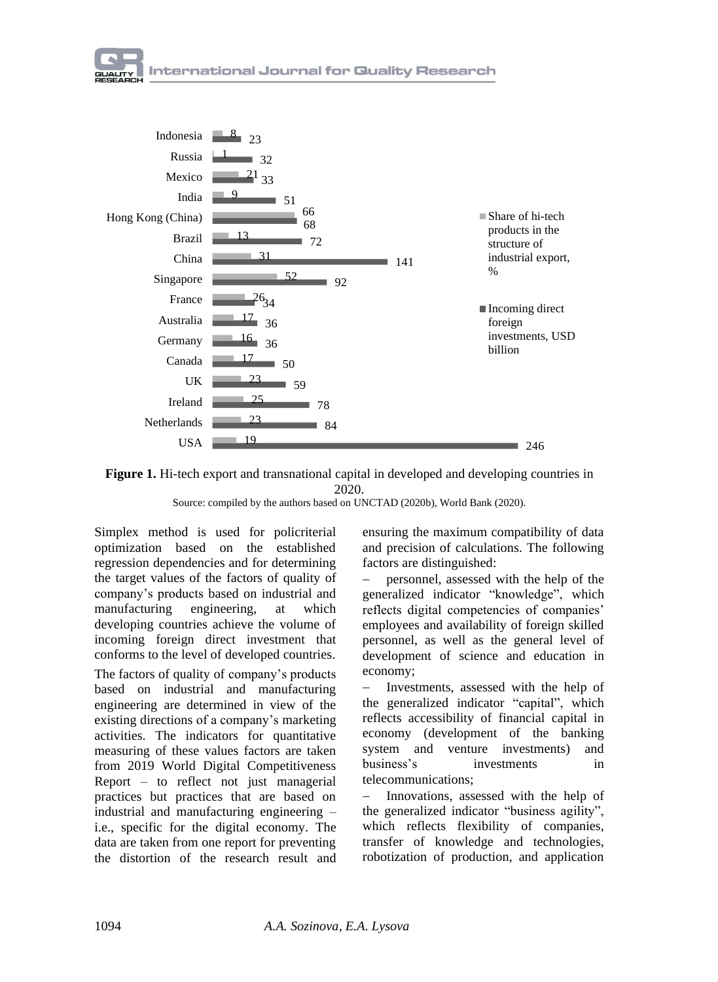





Source: compiled by the authors based on UNCTAD (2020b), World Bank (2020).

Simplex method is used for policriterial optimization based on the established regression dependencies and for determining the target values of the factors of quality of company's products based on industrial and manufacturing engineering, at which developing countries achieve the volume of incoming foreign direct investment that conforms to the level of developed countries.

The factors of quality of company's products based on industrial and manufacturing engineering are determined in view of the existing directions of a company's marketing activities. The indicators for quantitative measuring of these values factors are taken from 2019 World Digital Competitiveness Report – to reflect not just managerial practices but practices that are based on industrial and manufacturing engineering – i.e., specific for the digital economy. The data are taken from one report for preventing the distortion of the research result and ensuring the maximum compatibility of data and precision of calculations. The following factors are distinguished:

− personnel, assessed with the help of the generalized indicator "knowledge", which reflects digital competencies of companies' employees and availability of foreign skilled personnel, as well as the general level of development of science and education in economy;

Investments, assessed with the help of the generalized indicator "сapital", which reflects accessibility of financial capital in economy (development of the banking system and venture investments) and business's investments in telecommunications;

− Innovations, assessed with the help of the generalized indicator "business agility", which reflects flexibility of companies, transfer of knowledge and technologies, robotization of production, and application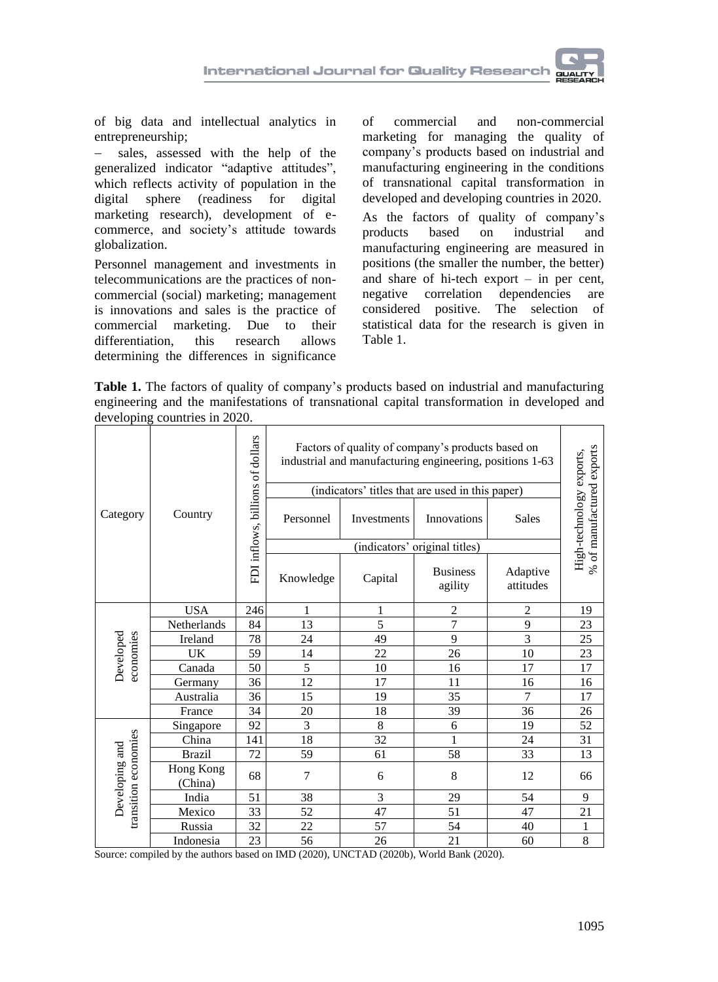

of big data and intellectual analytics in entrepreneurship;

− sales, assessed with the help of the generalized indicator "adaptive attitudes", which reflects activity of population in the digital sphere (readiness for digital marketing research), development of ecommerce, and society's attitude towards globalization.

Personnel management and investments in telecommunications are the practices of noncommercial (social) marketing; management is innovations and sales is the practice of commercial marketing. Due to their differentiation, this research allows determining the differences in significance of commercial and non-commercial marketing for managing the quality of company's products based on industrial and manufacturing engineering in the conditions of transnational capital transformation in developed and developing countries in 2020.

As the factors of quality of company's products based on industrial and manufacturing engineering are measured in positions (the smaller the number, the better) and share of hi-tech export – in per cent, negative correlation dependencies are considered positive. The selection of statistical data for the research is given in Table 1.

**Table 1.** The factors of quality of company's products based on industrial and manufacturing engineering and the manifestations of transnational capital transformation in developed and developing countries in 2020.

|                                        | Country              | FDI inflows, billions of dollars | Factors of quality of company's products based on<br>industrial and manufacturing engineering, positions 1-63<br>(indicators' titles that are used in this paper) |             |                            |                       |                                                       |
|----------------------------------------|----------------------|----------------------------------|-------------------------------------------------------------------------------------------------------------------------------------------------------------------|-------------|----------------------------|-----------------------|-------------------------------------------------------|
| Category                               |                      |                                  | Personnel                                                                                                                                                         | Investments | <b>Innovations</b>         | <b>Sales</b>          | % of manufactured exports<br>High-technology exports, |
|                                        |                      |                                  | (indicators' original titles)                                                                                                                                     |             |                            |                       |                                                       |
|                                        |                      |                                  | Knowledge                                                                                                                                                         | Capital     | <b>Business</b><br>agility | Adaptive<br>attitudes |                                                       |
|                                        | <b>USA</b>           | 246                              | 1                                                                                                                                                                 | 1           | $\overline{2}$             | $\overline{c}$        | 19                                                    |
| economies<br>Developed                 | Netherlands          | 84                               | 13                                                                                                                                                                | 5           | 7                          | 9                     | 23                                                    |
|                                        | Ireland              | 78                               | 24                                                                                                                                                                | 49          | 9                          | 3                     | 25                                                    |
|                                        | UK                   | 59                               | 14                                                                                                                                                                | 22          | 26                         | 10                    | 23                                                    |
|                                        | Canada               | 50                               | 5                                                                                                                                                                 | 10          | 16                         | 17                    | 17                                                    |
|                                        | Germany              | 36                               | 12                                                                                                                                                                | 17          | 11                         | 16                    | 16                                                    |
|                                        | Australia            | 36                               | 15                                                                                                                                                                | 19          | 35                         | 7                     | 17                                                    |
|                                        | France               | 34                               | 20                                                                                                                                                                | 18          | 39                         | 36                    | 26                                                    |
| transition economies<br>Developing and | Singapore            | 92                               | 3                                                                                                                                                                 | 8           | 6                          | 19                    | 52                                                    |
|                                        | China                | 141                              | 18                                                                                                                                                                | 32          | 1                          | 24                    | 31                                                    |
|                                        | <b>Brazil</b>        | 72                               | 59                                                                                                                                                                | 61          | 58                         | 33                    | 13                                                    |
|                                        | Hong Kong<br>(China) | 68                               | 7                                                                                                                                                                 | 6           | 8                          | 12                    | 66                                                    |
|                                        | India                | 51                               | 38                                                                                                                                                                | 3           | 29                         | 54                    | 9                                                     |
|                                        | Mexico               | 33                               | 52                                                                                                                                                                | 47          | 51                         | 47                    | 21                                                    |
|                                        | Russia               | 32                               | 22                                                                                                                                                                | 57          | 54                         | 40                    | 1                                                     |
|                                        | Indonesia            | 23                               | 56                                                                                                                                                                | 26          | 21                         | 60                    | 8                                                     |

Source: compiled by the authors based on IMD (2020), UNCTAD (2020b), World Bank (2020).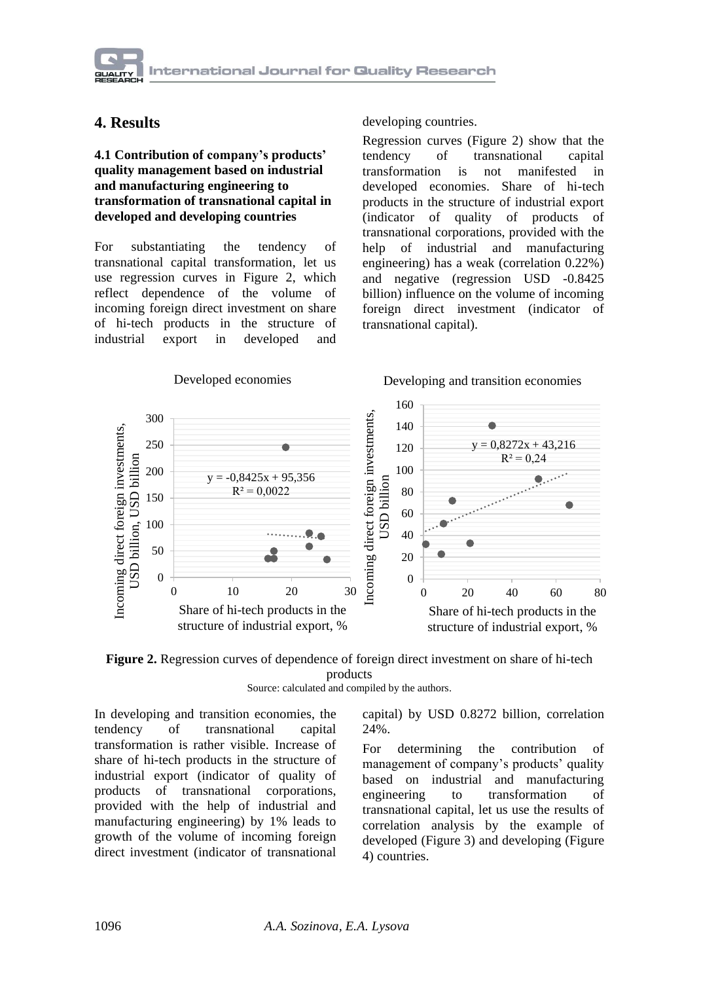## **4. Results**

#### **4.1 Contribution of company's products' quality management based on industrial and manufacturing engineering to transformation of transnational capital in developed and developing countries**

For substantiating the tendency of transnational capital transformation, let us use regression curves in Figure 2, which reflect dependence of the volume of incoming foreign direct investment on share of hi-tech products in the structure of industrial export in developed and

developing countries.

Regression curves (Figure 2) show that the tendency of transnational capital transformation is not manifested in developed economies. Share of hi-tech products in the structure of industrial export (indicator of quality of products of transnational corporations, provided with the help of industrial and manufacturing engineering) has a weak (correlation 0.22%) and negative (regression USD -0.8425 billion) influence on the volume of incoming foreign direct investment (indicator of transnational capital).





Source: calculated and compiled by the authors.

In developing and transition economies, the tendency of transnational capital transformation is rather visible. Increase of share of hi-tech products in the structure of industrial export (indicator of quality of products of transnational corporations, provided with the help of industrial and manufacturing engineering) by 1% leads to growth of the volume of incoming foreign direct investment (indicator of transnational capital) by USD 0.8272 billion, correlation 24%.

For determining the contribution of management of company's products' quality based on industrial and manufacturing engineering to transformation of transnational capital, let us use the results of correlation analysis by the example of developed (Figure 3) and developing (Figure 4) countries.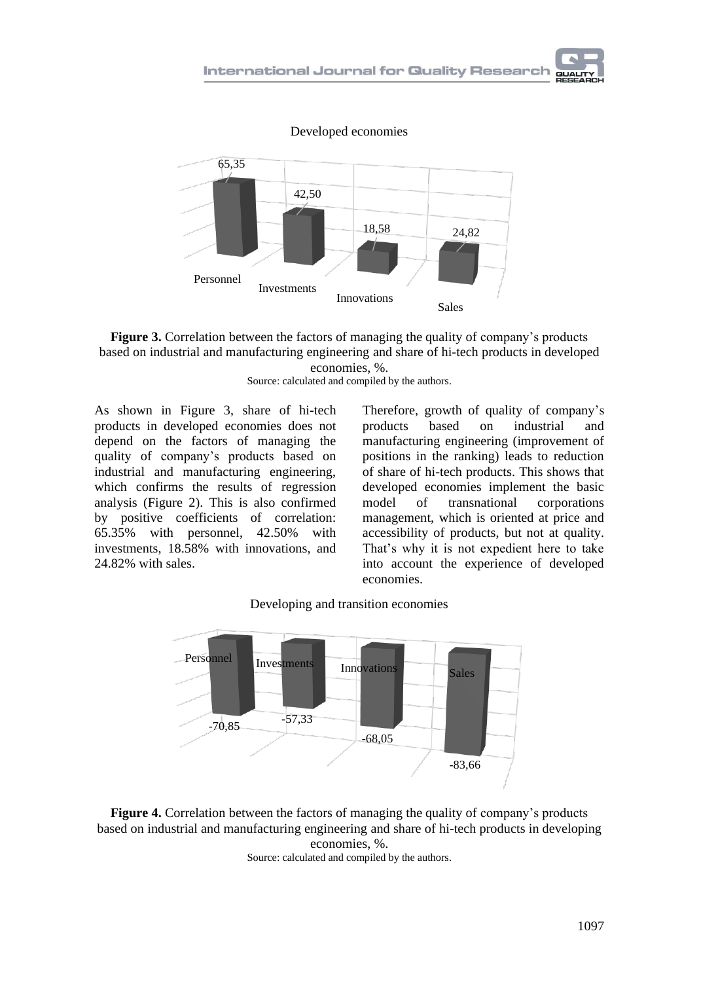





economies, %. Source: calculated and compiled by the authors.

As shown in Figure 3, share of hi-tech products in developed economies does not depend on the factors of managing the quality of company's products based on industrial and manufacturing engineering, which confirms the results of regression analysis (Figure 2). This is also confirmed by positive coefficients of correlation: 65.35% with personnel, 42.50% with investments, 18.58% with innovations, and 24.82% with sales.

Therefore, growth of quality of company's products based on industrial and manufacturing engineering (improvement of positions in the ranking) leads to reduction of share of hi-tech products. This shows that developed economies implement the basic model of transnational corporations management, which is oriented at price and accessibility of products, but not at quality. That's why it is not expedient here to take into account the experience of developed economies.



Developing and transition economies

**Figure 4.** Correlation between the factors of managing the quality of company's products based on industrial and manufacturing engineering and share of hi-tech products in developing economies, %.

Source: calculated and compiled by the authors.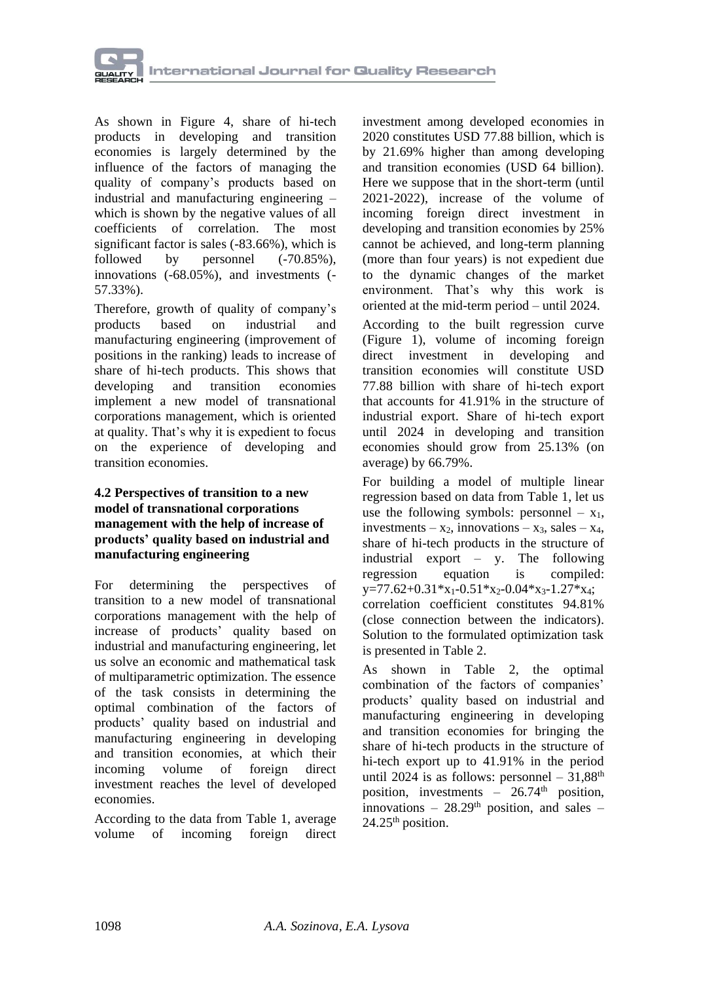

As shown in Figure 4, share of hi-tech products in developing and transition economies is largely determined by the influence of the factors of managing the quality of company's products based on industrial and manufacturing engineering – which is shown by the negative values of all coefficients of correlation. The most significant factor is sales (-83.66%), which is followed by personnel  $(-70.85\%)$ , innovations (-68.05%), and investments (- 57.33%).

Therefore, growth of quality of company's products based on industrial and manufacturing engineering (improvement of positions in the ranking) leads to increase of share of hi-tech products. This shows that developing and transition economies implement a new model of transnational corporations management, which is oriented at quality. That's why it is expedient to focus on the experience of developing and transition economies.

#### **4.2 Perspectives of transition to a new model of transnational corporations management with the help of increase of products' quality based on industrial and manufacturing engineering**

For determining the perspectives of transition to a new model of transnational corporations management with the help of increase of products' quality based on industrial and manufacturing engineering, let us solve an economic and mathematical task of multiparametric optimization. The essence of the task consists in determining the optimal combination of the factors of products' quality based on industrial and manufacturing engineering in developing and transition economies, at which their incoming volume of foreign direct investment reaches the level of developed economies.

According to the data from Table 1, average volume of incoming foreign direct

investment among developed economies in 2020 constitutes USD 77.88 billion, which is by 21.69% higher than among developing and transition economies (USD 64 billion). Here we suppose that in the short-term (until 2021-2022), increase of the volume of incoming foreign direct investment in developing and transition economies by 25% cannot be achieved, and long-term planning (more than four years) is not expedient due to the dynamic changes of the market environment. That's why this work is oriented at the mid-term period – until 2024.

According to the built regression curve (Figure 1), volume of incoming foreign direct investment in developing and transition economies will constitute USD 77.88 billion with share of hi-tech export that accounts for 41.91% in the structure of industrial export. Share of hi-tech export until 2024 in developing and transition economies should grow from 25.13% (on average) by 66.79%.

For building a model of multiple linear regression based on data from Table 1, let us use the following symbols: personnel  $- x_1$ , investments –  $x_2$ , innovations –  $x_3$ , sales –  $x_4$ , share of hi-tech products in the structure of industrial export – y. The following regression equation is compiled:  $y=77.62+0.31*x_1-0.51*x_2-0.04*x_3-1.27*x_4;$ correlation coefficient constitutes 94.81% (close connection between the indicators). Solution to the formulated optimization task is presented in Table 2.

As shown in Table 2, the optimal combination of the factors of companies' products' quality based on industrial and manufacturing engineering in developing and transition economies for bringing the share of hi-tech products in the structure of hi-tech export up to 41.91% in the period until 2024 is as follows: personnel –  $31,88$ <sup>th</sup> position, investments  $-$  26.74<sup>th</sup> position, innovations –  $28.29<sup>th</sup>$  position, and sales –  $24.25<sup>th</sup>$  position.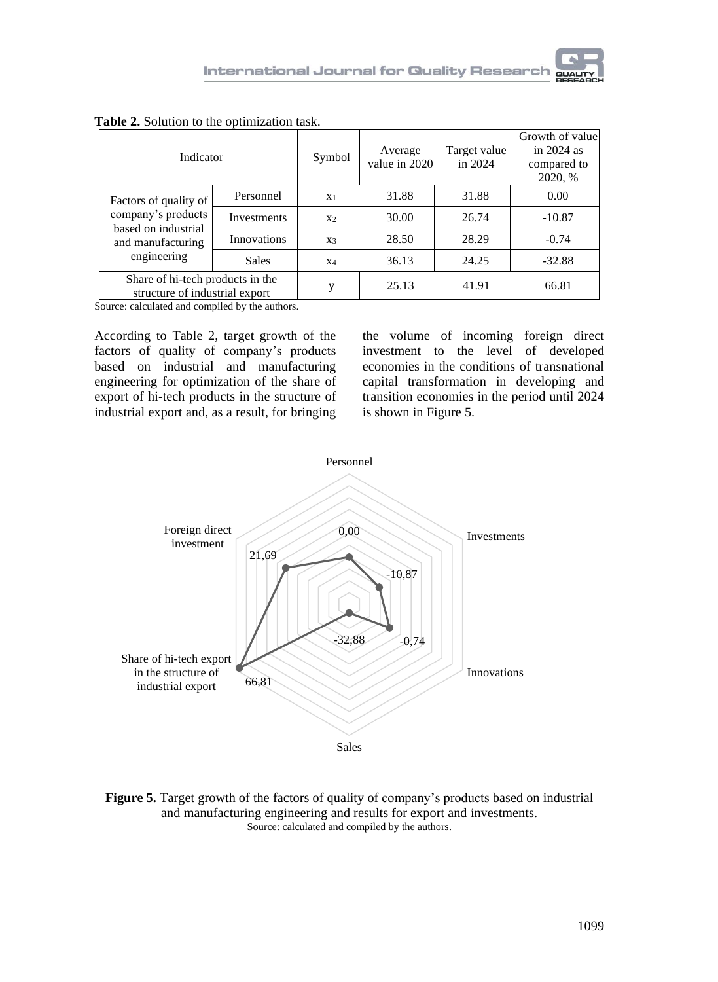| Indicator                                                          | Symbol      | Average<br>value in 2020 | Target value<br>in 2024 | Growth of value<br>in $2024$ as<br>compared to<br>2020, % |          |
|--------------------------------------------------------------------|-------------|--------------------------|-------------------------|-----------------------------------------------------------|----------|
| Factors of quality of                                              | Personnel   | X <sub>1</sub>           | 31.88                   | 31.88                                                     | 0.00     |
| company's products<br>based on industrial                          | Investments | X <sub>2</sub>           | 30.00                   | 26.74                                                     | $-10.87$ |
| and manufacturing                                                  | Innovations | X3                       | 28.50                   | 28.29                                                     | $-0.74$  |
| engineering                                                        | Sales       | $X_4$                    | 36.13                   | 24.25                                                     | $-32.88$ |
| Share of hi-tech products in the<br>structure of industrial export |             | y                        | 25.13                   | 41.91                                                     | 66.81    |

**Table 2.** Solution to the optimization task.

Source: calculated and compiled by the authors.

According to Table 2, target growth of the factors of quality of company's products based on industrial and manufacturing engineering for optimization of the share of export of hi-tech products in the structure of industrial export and, as a result, for bringing

the volume of incoming foreign direct investment to the level of developed economies in the conditions of transnational capital transformation in developing and transition economies in the period until 2024 is shown in Figure 5.



**Figure 5.** Target growth of the factors of quality of company's products based on industrial and manufacturing engineering and results for export and investments. Source: calculated and compiled by the authors.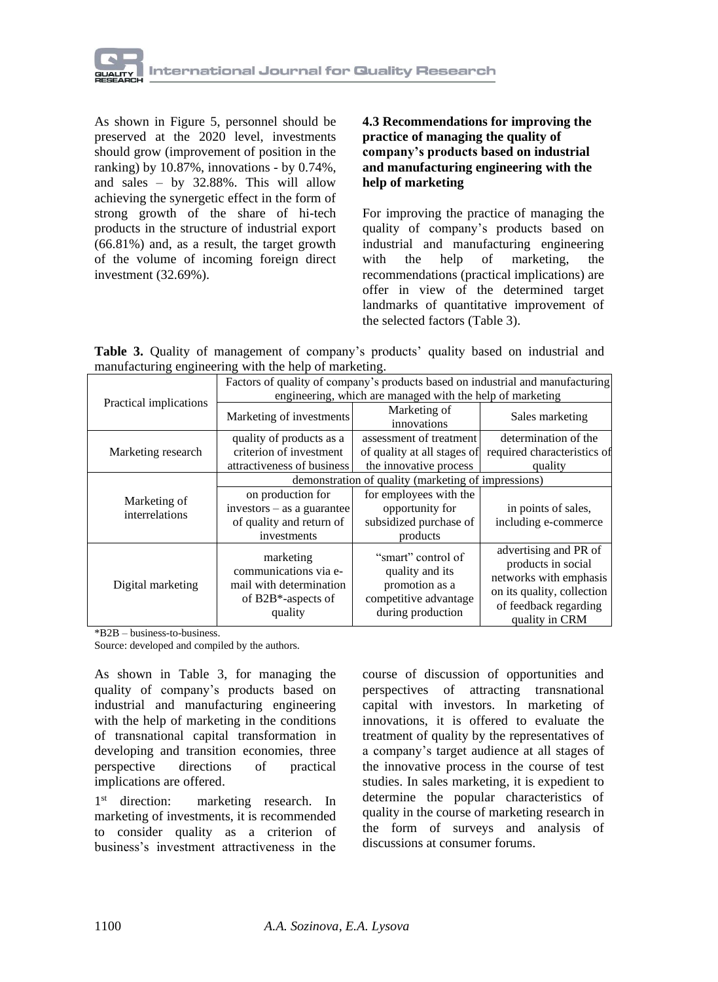

As shown in Figure 5, personnel should be preserved at the 2020 level, investments should grow (improvement of position in the ranking) by 10.87%, innovations - by 0.74%, and sales – by 32.88%. This will allow achieving the synergetic effect in the form of strong growth of the share of hi-tech products in the structure of industrial export (66.81%) and, as a result, the target growth of the volume of incoming foreign direct investment (32.69%).

#### **4.3 Recommendations for improving the practice of managing the quality of company's products based on industrial and manufacturing engineering with the help of marketing**

For improving the practice of managing the quality of company's products based on industrial and manufacturing engineering with the help of marketing, the recommendations (practical implications) are offer in view of the determined target landmarks of quantitative improvement of the selected factors (Table 3).

**Table 3.** Quality of management of company's products' quality based on industrial and manufacturing engineering with the help of marketing.

|                                | Factors of quality of company's products based on industrial and manufacturing                     |                                                                                                       |                                                                                                                                                |  |  |  |
|--------------------------------|----------------------------------------------------------------------------------------------------|-------------------------------------------------------------------------------------------------------|------------------------------------------------------------------------------------------------------------------------------------------------|--|--|--|
| Practical implications         | engineering, which are managed with the help of marketing                                          |                                                                                                       |                                                                                                                                                |  |  |  |
|                                | Marketing of investments                                                                           | Marketing of<br>innovations                                                                           | Sales marketing                                                                                                                                |  |  |  |
| Marketing research             | quality of products as a<br>criterion of investment<br>attractiveness of business                  | assessment of treatment<br>of quality at all stages of<br>the innovative process                      | determination of the<br>required characteristics of<br>quality                                                                                 |  |  |  |
|                                | demonstration of quality (marketing of impressions)                                                |                                                                                                       |                                                                                                                                                |  |  |  |
| Marketing of<br>interrelations | on production for<br>$investors - as a guarantee$<br>of quality and return of<br>investments       | for employees with the<br>opportunity for<br>subsidized purchase of<br>products                       | in points of sales,<br>including e-commerce                                                                                                    |  |  |  |
| Digital marketing              | marketing<br>communications via e-<br>mail with determination<br>of B2B $*$ -aspects of<br>quality | "smart" control of<br>quality and its<br>promotion as a<br>competitive advantage<br>during production | advertising and PR of<br>products in social<br>networks with emphasis<br>on its quality, collection<br>of feedback regarding<br>quality in CRM |  |  |  |

\*B2B – business-to-business.

Source: developed and compiled by the authors.

As shown in Table 3, for managing the quality of company's products based on industrial and manufacturing engineering with the help of marketing in the conditions of transnational capital transformation in developing and transition economies, three perspective directions of practical implications are offered.

 $1<sup>st</sup>$  direction: marketing research. In marketing of investments, it is recommended to consider quality as a criterion of business's investment attractiveness in the course of discussion of opportunities and perspectives of attracting transnational capital with investors. In marketing of innovations, it is offered to evaluate the treatment of quality by the representatives of a company's target audience at all stages of the innovative process in the course of test studies. In sales marketing, it is expedient to determine the popular characteristics of quality in the course of marketing research in the form of surveys and analysis of discussions at consumer forums.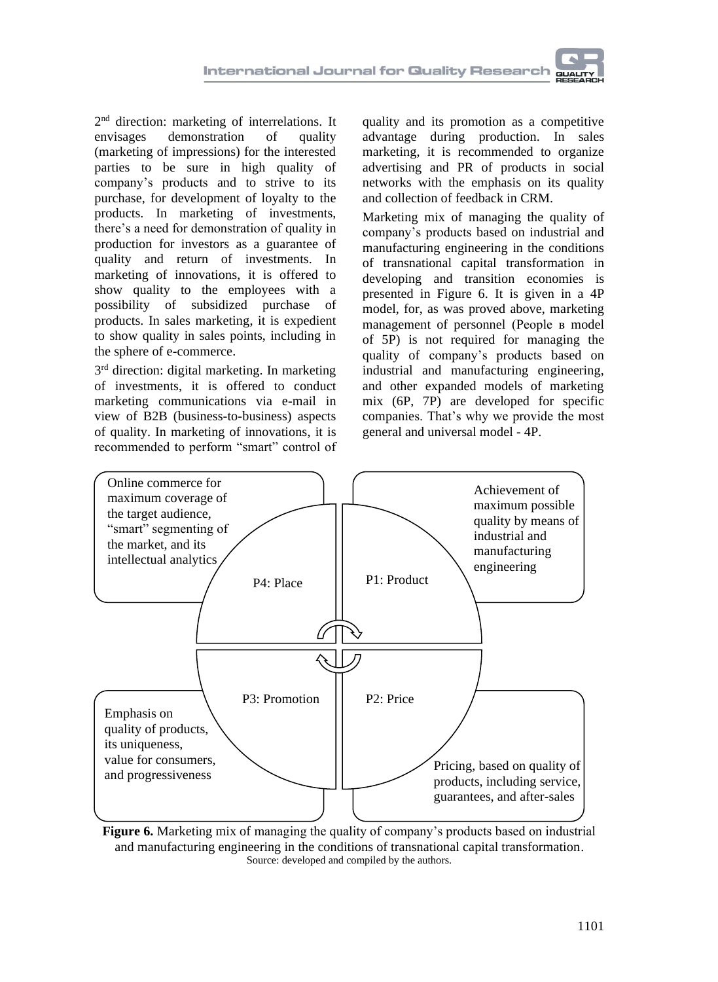2<sup>nd</sup> direction: marketing of interrelations. It envisages demonstration of quality (marketing of impressions) for the interested parties to be sure in high quality of company's products and to strive to its purchase, for development of loyalty to the products. In marketing of investments, there's a need for demonstration of quality in production for investors as a guarantee of quality and return of investments. In marketing of innovations, it is offered to show quality to the employees with a possibility of subsidized purchase of products. In sales marketing, it is expedient to show quality in sales points, including in the sphere of e-commerce.

3<sup>rd</sup> direction: digital marketing. In marketing of investments, it is offered to conduct marketing communications via e-mail in view of B2B (business-to-business) aspects of quality. In marketing of innovations, it is recommended to perform "smart" control of quality and its promotion as a competitive advantage during production. In sales marketing, it is recommended to organize advertising and PR of products in social networks with the emphasis on its quality and collection of feedback in CRM.

Marketing mix of managing the quality of company's products based on industrial and manufacturing engineering in the conditions of transnational capital transformation in developing and transition economies is presented in Figure 6. It is given in a 4P model, for, as was proved above, marketing management of personnel (People в model of 5P) is not required for managing the quality of company's products based on industrial and manufacturing engineering, and other expanded models of marketing mix (6P, 7P) are developed for specific companies. That's why we provide the most general and universal model - 4P.



**Figure 6.** Marketing mix of managing the quality of company's products based on industrial and manufacturing engineering in the conditions of transnational capital transformation. Source: developed and compiled by the authors.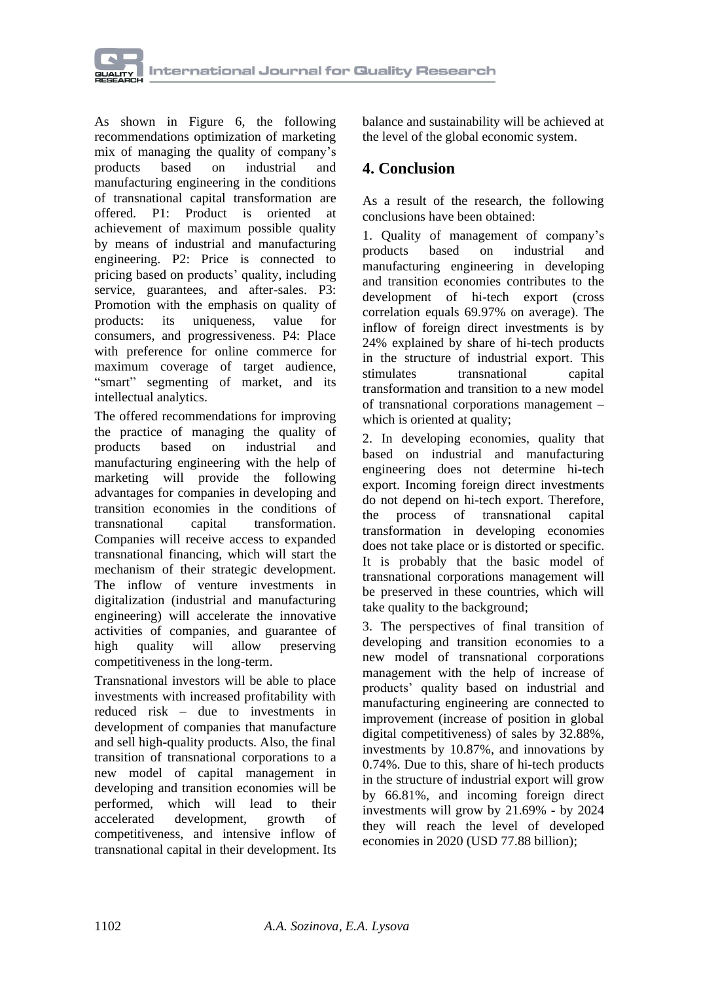

As shown in Figure 6, the following recommendations optimization of marketing mix of managing the quality of company's<br>products based on industrial and based on industrial and manufacturing engineering in the conditions of transnational capital transformation are offered. P1: Product is oriented at achievement of maximum possible quality by means of industrial and manufacturing engineering. P2: Price is connected to pricing based on products' quality, including service, guarantees, and after-sales. P3: Promotion with the emphasis on quality of products: its uniqueness, value for consumers, and progressiveness. P4: Place with preference for online commerce for maximum coverage of target audience, "smart" segmenting of market, and its intellectual analytics.

The offered recommendations for improving the practice of managing the quality of products based on industrial and manufacturing engineering with the help of marketing will provide the following advantages for companies in developing and transition economies in the conditions of transnational capital transformation. Companies will receive access to expanded transnational financing, which will start the mechanism of their strategic development. The inflow of venture investments in digitalization (industrial and manufacturing engineering) will accelerate the innovative activities of companies, and guarantee of high quality will allow preserving competitiveness in the long-term.

Transnational investors will be able to place investments with increased profitability with reduced risk – due to investments in development of companies that manufacture and sell high-quality products. Also, the final transition of transnational corporations to a new model of capital management in developing and transition economies will be performed, which will lead to their accelerated development, growth of competitiveness, and intensive inflow of transnational capital in their development. Its balance and sustainability will be achieved at the level of the global economic system.

### **4. Conclusion**

As a result of the research, the following conclusions have been obtained:

1. Quality of management of company's products based on industrial and manufacturing engineering in developing and transition economies contributes to the development of hi-tech export (cross correlation equals 69.97% on average). The inflow of foreign direct investments is by 24% explained by share of hi-tech products in the structure of industrial export. This stimulates transnational capital transformation and transition to a new model of transnational corporations management – which is oriented at quality;

2. In developing economies, quality that based on industrial and manufacturing engineering does not determine hi-tech export. Incoming foreign direct investments do not depend on hi-tech export. Therefore,<br>the process of transnational capital the process of transnational capital transformation in developing economies does not take place or is distorted or specific. It is probably that the basic model of transnational corporations management will be preserved in these countries, which will take quality to the background;

3. The perspectives of final transition of developing and transition economies to a new model of transnational corporations management with the help of increase of products' quality based on industrial and manufacturing engineering are connected to improvement (increase of position in global digital competitiveness) of sales by 32.88%, investments by 10.87%, and innovations by 0.74%. Due to this, share of hi-tech products in the structure of industrial export will grow by 66.81%, and incoming foreign direct investments will grow by 21.69% - by 2024 they will reach the level of developed economies in 2020 (USD 77.88 billion);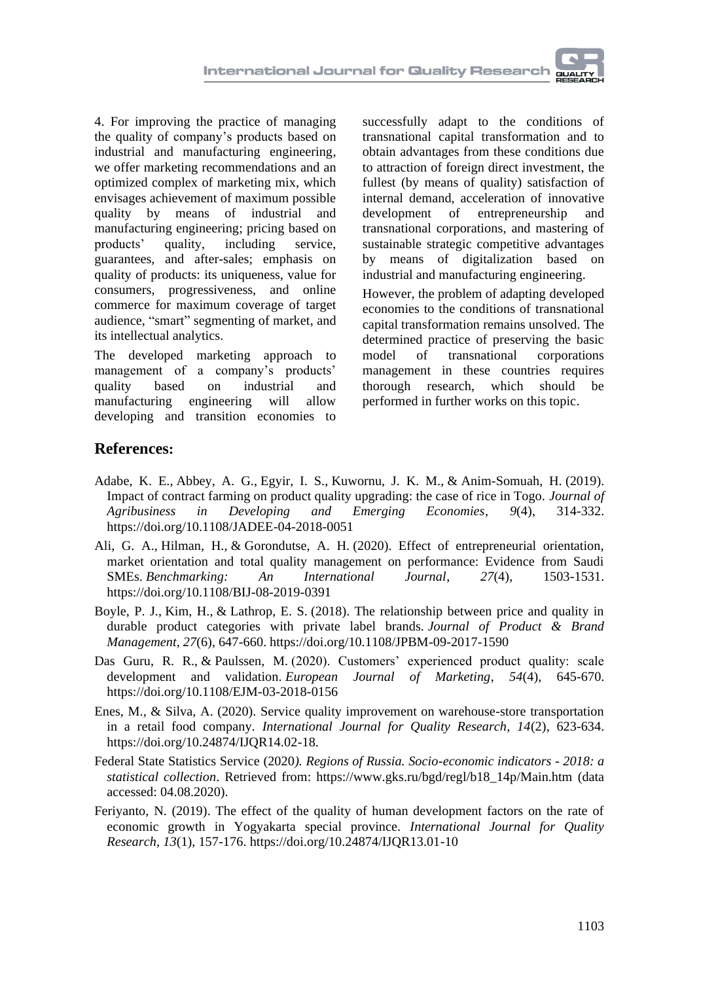4. For improving the practice of managing the quality of company's products based on industrial and manufacturing engineering, we offer marketing recommendations and an optimized complex of marketing mix, which envisages achievement of maximum possible quality by means of industrial and manufacturing engineering; pricing based on products' quality, including service, guarantees, and after-sales; emphasis on quality of products: its uniqueness, value for consumers, progressiveness, and online commerce for maximum coverage of target audience, "smart" segmenting of market, and its intellectual analytics.

The developed marketing approach to management of a company's products' quality based on industrial and manufacturing engineering will allow developing and transition economies to

successfully adapt to the conditions of transnational capital transformation and to obtain advantages from these conditions due to attraction of foreign direct investment, the fullest (by means of quality) satisfaction of internal demand, acceleration of innovative development of entrepreneurship and transnational corporations, and mastering of sustainable strategic competitive advantages by means of digitalization based on industrial and manufacturing engineering.

However, the problem of adapting developed economies to the conditions of transnational capital transformation remains unsolved. The determined practice of preserving the basic model of transnational corporations management in these countries requires thorough research, which should be performed in further works on this topic.

## **References:**

- [Adabe, K.](https://www.emerald.com/insight/search?q=Kokou%20E.%20Adabe) E., [Abbey, A.](https://www.emerald.com/insight/search?q=Abbevi%20G.%20Abbey) G., [Egyir, I.](https://www.emerald.com/insight/search?q=Irene%20S.%20Egyir) S., [Kuwornu, J.](https://www.emerald.com/insight/search?q=John%20K.M.%20Kuwornu) K. M., & [Anim-Somuah, H.](https://www.emerald.com/insight/search?q=Henry%20Anim-Somuah) (2019). Impact of contract farming on product quality upgrading: the case of rice in Togo. *[Journal of](https://www.emerald.com/insight/publication/issn/2044-0839)  [Agribusiness in Developing and Emerging Economies](https://www.emerald.com/insight/publication/issn/2044-0839)*, *9*(4), 314-332. <https://doi.org/10.1108/JADEE-04-2018-0051>
- [Ali, G.](https://www.emerald.com/insight/search?q=Gamal%20Abdualmajed%20Ali) A., [Hilman, H.,](https://www.emerald.com/insight/search?q=Haim%20Hilman) & [Gorondutse, A.](https://www.emerald.com/insight/search?q=Abdullahi%20Hassan%20Gorondutse) H. (2020). Effect of entrepreneurial orientation, market orientation and total quality management on performance: Evidence from Saudi SMEs. *[Benchmarking: An International Journal](https://www.emerald.com/insight/publication/issn/1463-5771)*, *27*(4), 1503-1531. <https://doi.org/10.1108/BIJ-08-2019-0391>
- [Boyle, P.](https://www.emerald.com/insight/search?q=Peter%20J.%20Boyle) J., [Kim, H.,](https://www.emerald.com/insight/search?q=Hyoshin%20Kim) & [Lathrop, E.](https://www.emerald.com/insight/search?q=E.%20Scott%20Lathrop) S. (2018). The relationship between price and quality in durable product categories with private label brands. *[Journal of Product & Brand](https://www.emerald.com/insight/publication/issn/1061-0421)  [Management](https://www.emerald.com/insight/publication/issn/1061-0421)*, *27*(6), 647-660. <https://doi.org/10.1108/JPBM-09-2017-1590>
- [Das Guru, R.](https://www.emerald.com/insight/search?q=Ramesh%20Roshan%20Das%20Guru) R., & [Paulssen, M.](https://www.emerald.com/insight/search?q=Marcel%20Paulssen) (2020). Customers' experienced product quality: scale development and validation. *[European Journal of Marketing](https://www.emerald.com/insight/publication/issn/0309-0566)*, *54*(4), 645-670. <https://doi.org/10.1108/EJM-03-2018-0156>
- Enes, M., & Silva, A. (2020). Service quality improvement on warehouse-store transportation in a retail food company. *International Journal for Quality Research, 14*(2), 623-634. [https://doi.org/10.24874/IJQR14.02-18.](https://doi.org/10.24874/IJQR14.02-18)
- Federal State Statistics Service (2020*). Regions of Russia. Socio-economic indicators - 2018: a statistical collection*. Retrieved from: [https://www.gks.ru/bgd/regl/b18\\_14p/Main.htm](https://www.gks.ru/bgd/regl/b18_14p/Main.htm) (data accessed: 04.08.2020).
- Feriyanto, N. (2019). The effect of the quality of human development factors on the rate of economic growth in Yogyakarta special province. *International Journal for Quality Research, 13*(1), 157-176[. https://doi.org/10.24874/IJQR13.01-10](https://doi.org/10.24874/IJQR13.01-10)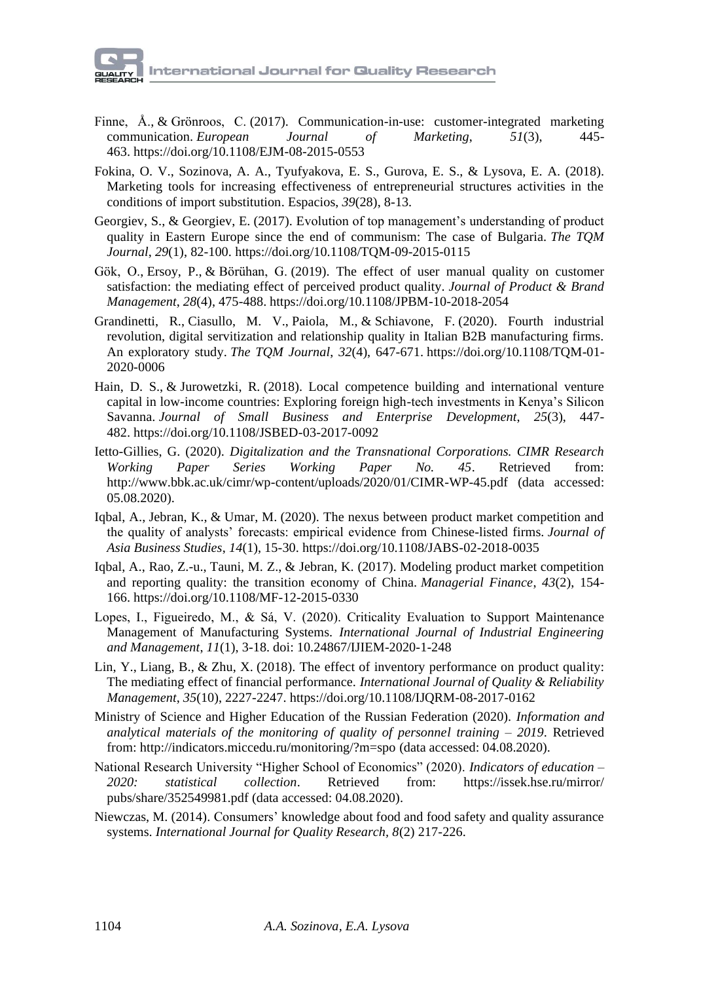- [Finne, Å.,](https://www.emerald.com/insight/search?q=%C3%85ke%20Finne) & [Grönroos, C.](https://www.emerald.com/insight/search?q=Christian%20Gr%C3%B6nroos) (2017). Communication-in-use: customer-integrated marketing communication. *[European Journal of Marketing](https://www.emerald.com/insight/publication/issn/0309-0566)*, *51*(3), 445- 463. <https://doi.org/10.1108/EJM-08-2015-0553>
- Fokina, O. V., Sozinova, A. A., Tyufyakova, E. S., Gurova, E. S., & Lysova, E. A. (2018). [Marketing tools for increasing effectiveness of entrepreneurial structures activities in the](https://elibrary.ru/item.asp?id=35745370)  [conditions of import substitution.](https://elibrary.ru/item.asp?id=35745370) [Espacios,](https://elibrary.ru/contents.asp?id=35174231) *39*(28), 8-13.
- [Georgiev, S.,](https://www.emerald.com/insight/search?q=Svetoslav%20Georgiev) & [Georgiev, E.](https://www.emerald.com/insight/search?q=Emil%20Georgiev) (2017). Evolution of top management's understanding of product quality in Eastern Europe since the end of communism: The case of Bulgaria. *[The TQM](https://www.emerald.com/insight/publication/issn/1754-2731)  [Journal](https://www.emerald.com/insight/publication/issn/1754-2731)*, *29*(1), 82-100. <https://doi.org/10.1108/TQM-09-2015-0115>
- [Gök, O.,](https://www.emerald.com/insight/search?q=Osman%20G%C3%B6k) [Ersoy, P.,](https://www.emerald.com/insight/search?q=Pervin%20Ersoy) & [Börühan, G.](https://www.emerald.com/insight/search?q=G%C3%BClm%C3%BC%C5%9F%20B%C3%B6r%C3%BChan) (2019). The effect of user manual quality on customer satisfaction: the mediating effect of perceived product quality. *[Journal of Product & Brand](https://www.emerald.com/insight/publication/issn/1061-0421)  [Management](https://www.emerald.com/insight/publication/issn/1061-0421)*, *28*(4), 475-488. <https://doi.org/10.1108/JPBM-10-2018-2054>
- [Grandinetti, R.,](https://www.emerald.com/insight/search?q=Roberto%20Grandinetti) [Ciasullo, M.](https://www.emerald.com/insight/search?q=Maria%20Vincenza%20Ciasullo) V., [Paiola, M.,](https://www.emerald.com/insight/search?q=Marco%20Paiola) & [Schiavone, F.](https://www.emerald.com/insight/search?q=Francesco%20Schiavone) (2020). Fourth industrial revolution, digital servitization and relationship quality in Italian B2B manufacturing firms. An exploratory study. *[The TQM Journal](https://www.emerald.com/insight/publication/issn/1754-2731)*, *32*(4), 647-671. [https://doi.org/10.1108/TQM-01-](https://doi.org/10.1108/TQM-01-2020-0006) [2020-0006](https://doi.org/10.1108/TQM-01-2020-0006)
- [Hain, D.](https://www.emerald.com/insight/search?q=Daniel%20Stefan%20Hain) S., & [Jurowetzki, R.](https://www.emerald.com/insight/search?q=Roman%20Jurowetzki) (2018). Local competence building and international venture capital in low-income countries: Exploring foreign high-tech investments in Kenya's Silicon Savanna. *[Journal of Small Business and Enterprise](https://www.emerald.com/insight/publication/issn/1462-6004) Development*, *25*(3), 447- 482. <https://doi.org/10.1108/JSBED-03-2017-0092>
- Ietto-Gillies, G. (2020). *Digitalization and the Transnational Corporations. CIMR Research Working Paper Series Working Paper No. 45*. Retrieved from: <http://www.bbk.ac.uk/cimr/wp-content/uploads/2020/01/CIMR-WP-45.pdf> (data accessed: 05.08.2020).
- [Iqbal, A.,](https://www.emerald.com/insight/search?q=Amjad%20Iqbal) [Jebran, K.,](https://www.emerald.com/insight/search?q=Khalil%20Jebran) & [Umar, M.](https://www.emerald.com/insight/search?q=Muhammad%20Umar) (2020). The nexus between product market competition and the quality of analysts' forecasts: empirical evidence from Chinese-listed firms. *[Journal of](https://www.emerald.com/insight/publication/issn/1558-7894)  [Asia Business Studies](https://www.emerald.com/insight/publication/issn/1558-7894)*, *14*(1), 15-30. <https://doi.org/10.1108/JABS-02-2018-0035>
- [Iqbal, A.,](https://www.emerald.com/insight/search?q=Amjad%20Iqbal) [Rao, Z.-u.,](https://www.emerald.com/insight/search?q=Zia-ur-Rehman%20Rao) [Tauni, M.](https://www.emerald.com/insight/search?q=Muhammad%20Zubair%20Tauni) Z., & [Jebran, K.](https://www.emerald.com/insight/search?q=Khalil%20Jebran) (2017). Modeling product market competition and reporting quality: the transition economy of China. *[Managerial Finance](https://www.emerald.com/insight/publication/issn/0307-4358)*, *43*(2), 154- 166. <https://doi.org/10.1108/MF-12-2015-0330>
- Lopes, I., Figueiredo, M., & Sá, V. (2020). Criticality Evaluation to Support Maintenance Management of Manufacturing Systems. *International Journal of Industrial Engineering and Management*, *11*(1), 3-18. doi: 10.24867/IJIEM-2020-1-248
- [Lin, Y.,](https://www.emerald.com/insight/search?q=Yu%20Lin) [Liang, B.,](https://www.emerald.com/insight/search?q=Biwei%20Liang) & [Zhu, X.](https://www.emerald.com/insight/search?q=Xuechang%20Zhu) (2018). The effect of inventory performance on product quality: The mediating effect of financial performance. *[International Journal of Quality & Reliability](https://www.emerald.com/insight/publication/issn/0265-671X)  [Management](https://www.emerald.com/insight/publication/issn/0265-671X)*, *35*(10), 2227-2247. <https://doi.org/10.1108/IJQRM-08-2017-0162>
- Ministry of Science and Higher Education of the Russian Federation (2020). *Information and analytical materials of the monitoring of quality of personnel training – 2019*. Retrieved from:<http://indicators.miccedu.ru/monitoring/?m=spo> (data accessed: 04.08.2020).
- National Research University "Higher School of Economics" (2020). *Indicators of education – 2020: statistical collection*. Retrieved from: [https://issek.hse.ru/mirror/](https://issek.hse.ru/mirror/pubs/share/352549981.pdf) [pubs/share/352549981.pdf](https://issek.hse.ru/mirror/pubs/share/352549981.pdf) (data accessed: 04.08.2020).
- Niewczas, M. (2014). Consumers' knowledge about food and food safety and quality assurance systems. *International Journal for Quality Research, 8*(2) 217-226.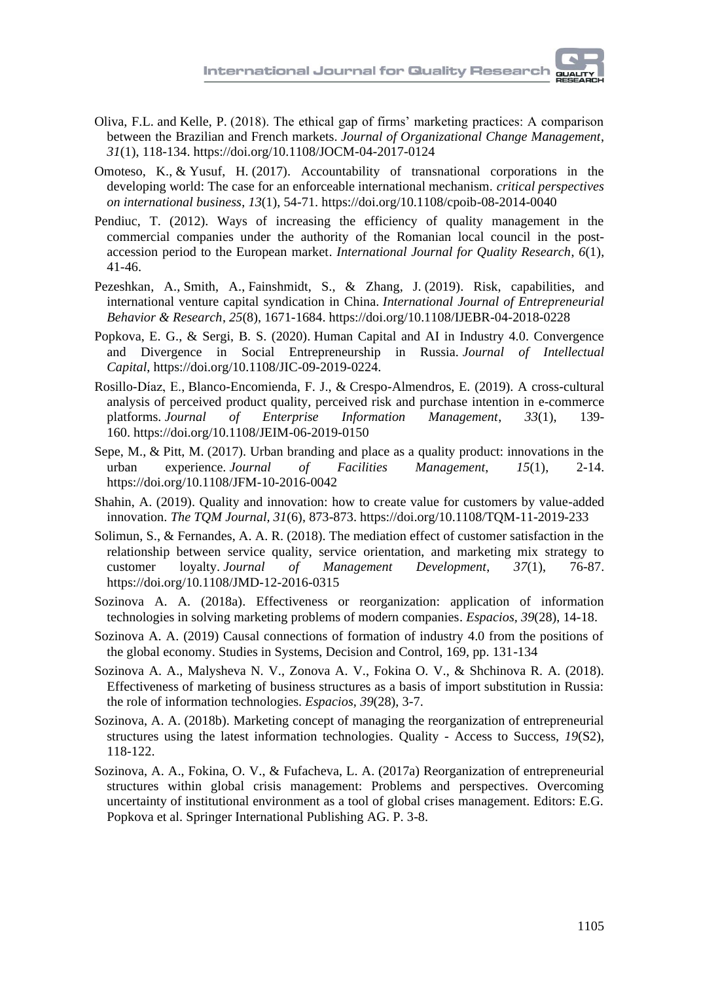- [Oliva, F.L.](https://www.emerald.com/insight/search?q=Fabio%20Lotti%20Oliva) and [Kelle, P.](https://www.emerald.com/insight/search?q=Peter%20Kelle) (2018). The ethical gap of firms' marketing practices: A comparison between the Brazilian and French markets. *[Journal of Organizational Change Management](https://www.emerald.com/insight/publication/issn/0953-4814)*, *31*(1), 118-134. <https://doi.org/10.1108/JOCM-04-2017-0124>
- [Omoteso, K.,](https://www.emerald.com/insight/search?q=Kamil%20Omoteso) & [Yusuf, H.](https://www.emerald.com/insight/search?q=Hakeem%20Yusuf) (2017). Accountability of transnational corporations in the developing world: The case for an enforceable international mechanism. *[critical perspectives](https://www.emerald.com/insight/publication/issn/1742-2043)  [on international business](https://www.emerald.com/insight/publication/issn/1742-2043)*, *13*(1), 54-71. <https://doi.org/10.1108/cpoib-08-2014-0040>
- Pendiuc, T. (2012). Ways of increasing the efficiency of quality management in the commercial companies under the authority of the Romanian local council in the postaccession period to the European market. *International Journal for Quality Research*, *6*(1), 41-46.
- [Pezeshkan, A.,](https://www.emerald.com/insight/search?q=Amir%20Pezeshkan) [Smith, A.,](https://www.emerald.com/insight/search?q=Adam%20Smith) [Fainshmidt, S.,](https://www.emerald.com/insight/search?q=Stav%20Fainshmidt) & [Zhang, J.](https://www.emerald.com/insight/search?q=Jing%20Zhang) (2019). Risk, capabilities, and international venture capital syndication in China. *[International Journal of Entrepreneurial](https://www.emerald.com/insight/publication/issn/1355-2554)  [Behavior & Research](https://www.emerald.com/insight/publication/issn/1355-2554)*, *25*(8), 1671-1684. <https://doi.org/10.1108/IJEBR-04-2018-0228>
- Popkova, E. G., & Sergi, B. S. (2020). Human Capital and AI in Industry 4.0. Convergence and Divergence in Social Entrepreneurship in Russia. *Journal of Intellectual Capital*, [https://doi.org/10.1108/JIC-09-2019-0224.](https://doi.org/10.1108/JIC-09-2019-0224)
- [Rosillo-Díaz, E.,](https://www.emerald.com/insight/search?q=Elena%20Rosillo-D%C3%ADaz) [Blanco-Encomienda, F.](https://www.emerald.com/insight/search?q=Francisco%20Javier%20Blanco-Encomienda) J., & [Crespo-Almendros, E.](https://www.emerald.com/insight/search?q=Esmeralda%20Crespo-Almendros) (2019). A cross-cultural analysis of perceived product quality, perceived risk and purchase intention in e-commerce platforms. *[Journal of Enterprise Information Management](https://www.emerald.com/insight/publication/issn/1741-0398)*, *33*(1), 139- 160. <https://doi.org/10.1108/JEIM-06-2019-0150>
- [Sepe, M.,](https://www.emerald.com/insight/search?q=Marichela%20Sepe) & [Pitt, M.](https://www.emerald.com/insight/search?q=Michael%20Pitt) (2017). Urban branding and place as a quality product: innovations in the urban experience. *[Journal of Facilities Management](https://www.emerald.com/insight/publication/issn/1472-5967)*, *15*(1), 2-14. <https://doi.org/10.1108/JFM-10-2016-0042>
- Shahin, A. (2019). Quality and innovation: how to create value for customers by value-added innovation. *The TQM Journal, 31*(6), 873-873. https://doi.org/10.1108/TQM-11-2019-233
- [Solimun, S.,](https://www.emerald.com/insight/search?q=Solimun%20Solimun) & [Fernandes, A.](https://www.emerald.com/insight/search?q=Adji%20Achmad%20Rinaldo%20Fernandes) A. R. (2018). The mediation effect of customer satisfaction in the relationship between service quality, service orientation, and marketing mix strategy to customer loyalty. *[Journal of Management Development](https://www.emerald.com/insight/publication/issn/0262-1711)*, *37*(1), 76-87. <https://doi.org/10.1108/JMD-12-2016-0315>
- Sozinova A. A. (2018a). [Effectiveness or reorganization: application of information](https://elibrary.ru/item.asp?id=35753030)  [technologies in solving marketing problems of modern companies.](https://elibrary.ru/item.asp?id=35753030) *[Espacios,](https://elibrary.ru/contents.asp?id=35174231) 39*(28), 14-18.
- Sozinova A. A. (2019) Causal connections of formation of industry 4.0 from the positions of the global economy. Studies in Systems, Decision and Control, 169, pp. 131-134
- Sozinova A. A., Malysheva N. V., Zonova A. V., Fokina O. V., & Shchinova R. A. (2018). [Effectiveness of marketing of business structures as a basis of import substitution in Russia:](https://elibrary.ru/item.asp?id=35751205)  [the role of information technologies.](https://elibrary.ru/item.asp?id=35751205) *[Espacios,](https://elibrary.ru/contents.asp?id=35174231) 39*(28), 3-7.
- Sozinova, A. A. (2018b). [Marketing concept of managing the reorganization of entrepreneurial](https://elibrary.ru/item.asp?id=35717941)  [structures using the latest information technologies.](https://elibrary.ru/item.asp?id=35717941) Quality - [Access to Success,](https://elibrary.ru/contents.asp?id=35239731) *19*(S2), 118-122.
- Sozinova, A. A., Fokina, O. V., & Fufacheva, L. A. (2017a) Reorganization of entrepreneurial structures within global crisis management: Problems and perspectives. Overcoming uncertainty of institutional environment as a tool of global crises management. Editors: E.G. Popkova et al. Springer International Publishing AG. P. 3-8.